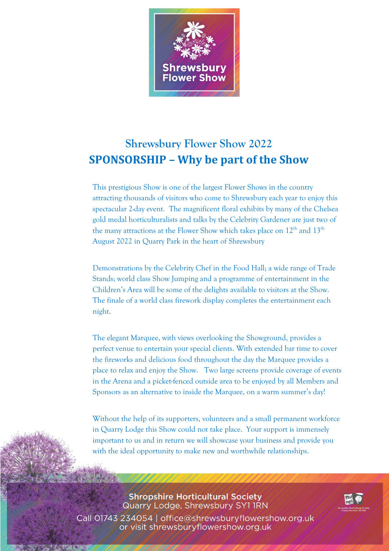

## **Shrewsbury Flower Show 2022 SPONSORSHIP – Why be part of the Show**

This prestigious Show is one of the largest Flower Shows in the country attracting thousands of visitors who come to Shrewsbury each year to enjoy this spectacular 2-day event. The magnificent floral exhibits by many of the Chelsea gold medal horticulturalists and talks by the Celebrity Gardener are just two of the many attractions at the Flower Show which takes place on  $12^{\rm th}$  and  $13^{\rm th}$ August 2022 in Quarry Park in the heart of Shrewsbury

Demonstrations by the Celebrity Chef in the Food Hall; a wide range of Trade Stands; world class Show Jumping and a programme of entertainment in the Children's Area will be some of the delights available to visitors at the Show. The finale of a world class firework display completes the entertainment each night.

The elegant Marquee, with views overlooking the Showground, provides a perfect venue to entertain your special clients. With extended bar time to cover the fireworks and delicious food throughout the day the Marquee provides a place to relax and enjoy the Show. Two large screens provide coverage of events in the Arena and a picket-fenced outside area to be enjoyed by all Members and Sponsors as an alternative to inside the Marquee, on a warm summer's day!

Without the help of its supporters, volunteers and a small permanent workforce in Quarry Lodge this Show could not take place. Your support is immensely important to us and in return we will showcase your business and provide you with the ideal opportunity to make new and worthwhile relationships.

**Shropshire Horticultural Society** Quarry Lodge, Shrewsbury SY11RN Call 01743 234054 | office@shrewsburyflowershow.org.uk or visit shrewsburyflowershow.org.uk